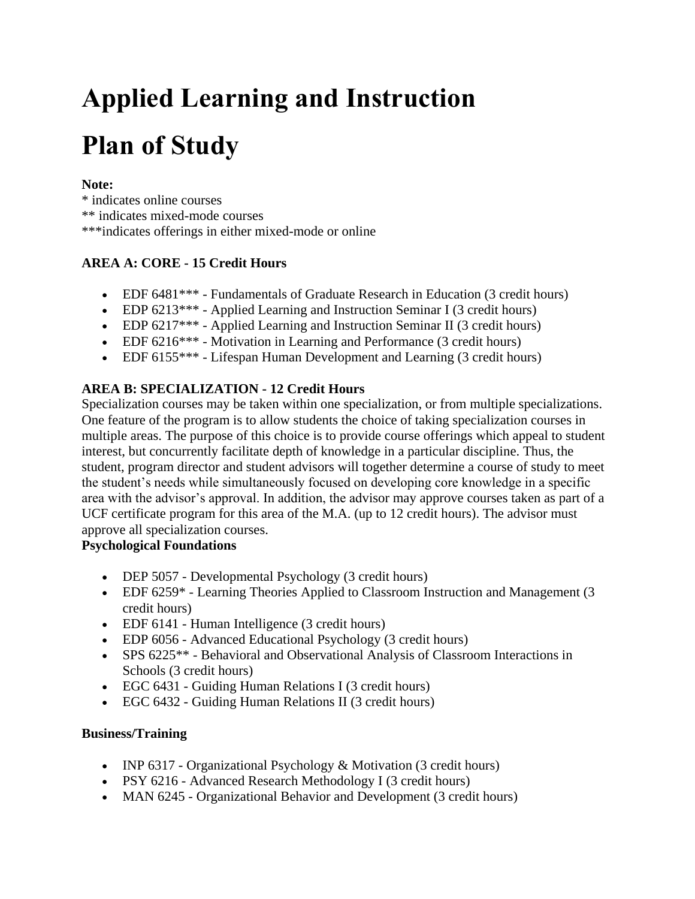# **Applied Learning and Instruction Plan of Study**

# **Note:**

\* indicates online courses \*\* indicates mixed-mode courses \*\*\*indicates offerings in either mixed-mode or online

# **AREA A: CORE - 15 Credit Hours**

- EDF 6481\*\*\* Fundamentals of Graduate Research in Education (3 credit hours)
- EDP 6213\*\*\* Applied Learning and Instruction Seminar I (3 credit hours)
- EDP 6217\*\*\* Applied Learning and Instruction Seminar II (3 credit hours)
- EDF 6216\*\*\* Motivation in Learning and Performance (3 credit hours)
- EDF 6155\*\*\* Lifespan Human Development and Learning (3 credit hours)

# **AREA B: SPECIALIZATION - 12 Credit Hours**

Specialization courses may be taken within one specialization, or from multiple specializations. One feature of the program is to allow students the choice of taking specialization courses in multiple areas. The purpose of this choice is to provide course offerings which appeal to student interest, but concurrently facilitate depth of knowledge in a particular discipline. Thus, the student, program director and student advisors will together determine a course of study to meet the student's needs while simultaneously focused on developing core knowledge in a specific area with the advisor's approval. In addition, the advisor may approve courses taken as part of a UCF certificate program for this area of the M.A. (up to 12 credit hours). The advisor must approve all specialization courses.

#### **Psychological Foundations**

- DEP 5057 Developmental Psychology (3 credit hours)
- EDF 6259\* Learning Theories Applied to Classroom Instruction and Management (3 credit hours)
- EDF 6141 Human Intelligence (3 credit hours)
- EDP 6056 Advanced Educational Psychology (3 credit hours)
- SPS 6225<sup>\*\*</sup> Behavioral and Observational Analysis of Classroom Interactions in Schools (3 credit hours)
- EGC 6431 Guiding Human Relations I (3 credit hours)
- EGC 6432 Guiding Human Relations II (3 credit hours)

#### **Business/Training**

- INP 6317 Organizational Psychology & Motivation (3 credit hours)
- PSY 6216 Advanced Research Methodology I (3 credit hours)
- MAN 6245 Organizational Behavior and Development (3 credit hours)